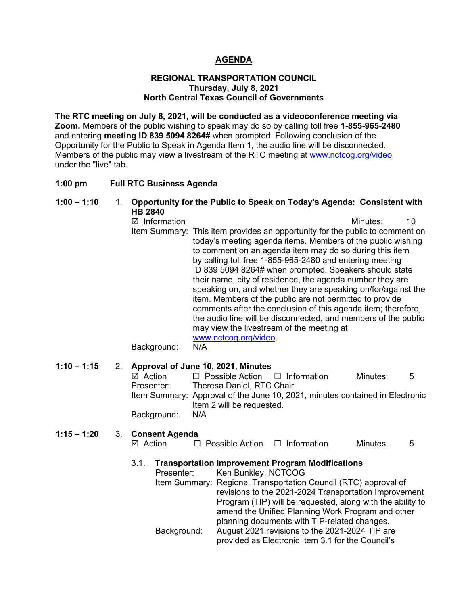# **AGENDA**

#### **REGIONAL TRANSPORTATION COUNCIL Thursday, July 8, 2021 North Central Texas Council of Governments**

**The RTC meeting on July 8, 2021, will be conducted as a videoconference meeting via Zoom.** Members of the public wishing to speak may do so by calling toll free **1-855-965-2480**  and entering **meeting ID 839 5094 8264#** when prompted. Following conclusion of the Opportunity for the Public to Speak in Agenda Item 1, the audio line will be disconnected. Members of the public may view a livestream of the RTC meeting at [www.nctcog.org/video](http://www.nctcog.org/video) under the "live" tab.

#### **1:00 pm Full RTC Business Agenda**

| $1:00 - 1:10$ | 1. |                                                | Opportunity for the Public to Speak on Today's Agenda: Consistent with                                                                                                                                                                                                                                                                                                                                                                                                                                                                                                                                                                                                                                                                 |          |    |
|---------------|----|------------------------------------------------|----------------------------------------------------------------------------------------------------------------------------------------------------------------------------------------------------------------------------------------------------------------------------------------------------------------------------------------------------------------------------------------------------------------------------------------------------------------------------------------------------------------------------------------------------------------------------------------------------------------------------------------------------------------------------------------------------------------------------------------|----------|----|
|               |    | <b>HB 2840</b><br>☑ Information<br>Background: | Item Summary: This item provides an opportunity for the public to comment on<br>today's meeting agenda items. Members of the public wishing<br>to comment on an agenda item may do so during this item<br>by calling toll free 1-855-965-2480 and entering meeting<br>ID 839 5094 8264# when prompted. Speakers should state<br>their name, city of residence, the agenda number they are<br>speaking on, and whether they are speaking on/for/against the<br>item. Members of the public are not permitted to provide<br>comments after the conclusion of this agenda item; therefore,<br>the audio line will be disconnected, and members of the public<br>may view the livestream of the meeting at<br>www.nctcog.org/video.<br>N/A | Minutes: | 10 |
| $1:10 - 1:15$ | 2. | $\boxtimes$ Action<br>Dracantar:               | Approval of June 10, 2021, Minutes<br>$\Box$ Possible Action $\Box$ Information<br>Theress Daniel RTC Chair                                                                                                                                                                                                                                                                                                                                                                                                                                                                                                                                                                                                                            | Minutes: | 5  |

Presenter: Theresa Daniel, RTC Chair Item Summary: Approval of the June 10, 2021, minutes contained in Electronic Item 2 will be requested. Background: N/A

# **1:15 – 1:20** 3. **Consent Agenda**

| ⊠ Action | $\Box$ Possible Action $\Box$ Information | Minutes: |  |
|----------|-------------------------------------------|----------|--|
|          |                                           |          |  |

# 3.1. **Transportation Improvement Program Modifications**

|             | Presenter: Ken Bunkley, NCTCOG                                  |
|-------------|-----------------------------------------------------------------|
|             | Item Summary: Regional Transportation Council (RTC) approval of |
|             | revisions to the 2021-2024 Transportation Improvement           |
|             | Program (TIP) will be requested, along with the ability to      |
|             | amend the Unified Planning Work Program and other               |
|             | planning documents with TIP-related changes.                    |
| Background: | August 2021 revisions to the 2021-2024 TIP are                  |
|             | provided as Electronic Item 3.1 for the Council's               |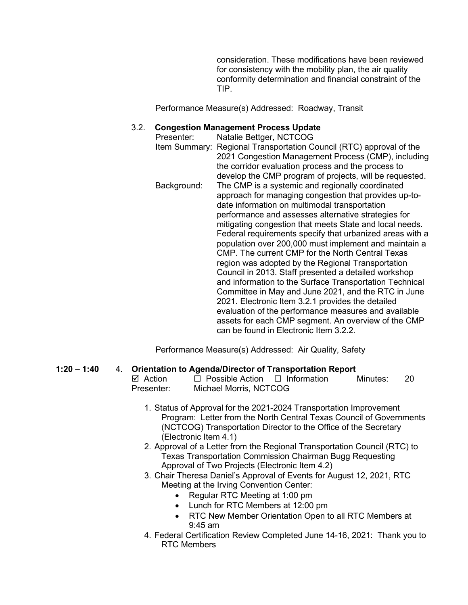consideration. These modifications have been reviewed for consistency with the mobility plan, the air quality conformity determination and financial constraint of the TIP.

Performance Measure(s) Addressed: Roadway, Transit

#### 3.2. **Congestion Management Process Update**

Presenter: Natalie Bettger, NCTCOG Item Summary: Regional Transportation Council (RTC) approval of the 2021 Congestion Management Process (CMP), including the corridor evaluation process and the process to develop the CMP program of projects, will be requested. Background: The CMP is a systemic and regionally coordinated approach for managing congestion that provides up-todate information on multimodal transportation performance and assesses alternative strategies for mitigating congestion that meets State and local needs. Federal requirements specify that urbanized areas with a population over 200,000 must implement and maintain a CMP. The current CMP for the North Central Texas region was adopted by the Regional Transportation Council in 2013. Staff presented a detailed workshop and information to the Surface Transportation Technical Committee in May and June 2021, and the RTC in June 2021. Electronic Item 3.2.1 provides the detailed evaluation of the performance measures and available assets for each CMP segment. An overview of the CMP can be found in Electronic Item 3.2.2.

Performance Measure(s) Addressed: Air Quality, Safety

# **1:20 – 1:40** 4. **Orientation to Agenda/Director of Transportation Report**

| ⊠ Action   | $\Box$ Possible Action $\Box$ Information | Minutes: | -20 |
|------------|-------------------------------------------|----------|-----|
| Presenter: | Michael Morris, NCTCOG                    |          |     |

- 1. Status of Approval for the 2021-2024 Transportation Improvement Program: Letter from the North Central Texas Council of Governments (NCTCOG) Transportation Director to the Office of the Secretary (Electronic Item 4.1)
- 2. Approval of a Letter from the Regional Transportation Council (RTC) to Texas Transportation Commission Chairman Bugg Requesting Approval of Two Projects (Electronic Item 4.2)
- 3. Chair Theresa Daniel's Approval of Events for August 12, 2021, RTC Meeting at the Irving Convention Center:
	- Regular RTC Meeting at 1:00 pm
	- Lunch for RTC Members at 12:00 pm
	- RTC New Member Orientation Open to all RTC Members at 9:45 am
- 4. Federal Certification Review Completed June 14-16, 2021: Thank you to RTC Members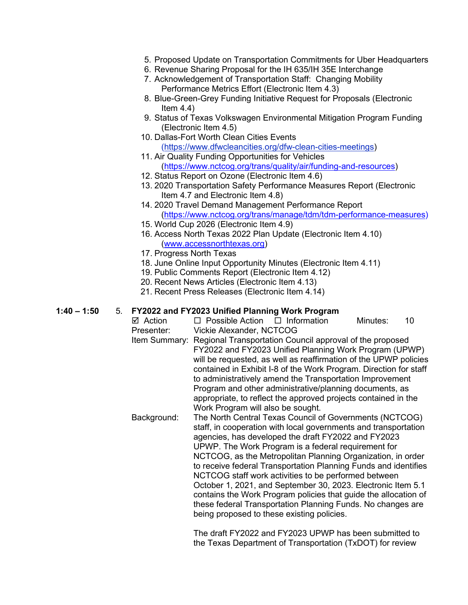- 5. Proposed Update on Transportation Commitments for Uber Headquarters
- 6. Revenue Sharing Proposal for the IH 635/IH 35E Interchange 7. Acknowledgement of Transportation Staff: Changing Mobility
- Performance Metrics Effort (Electronic Item 4.3)
- 8. Blue-Green-Grey Funding Initiative Request for Proposals (Electronic Item  $4.4$ )
- 9. Status of Texas Volkswagen Environmental Mitigation Program Funding (Electronic Item 4.5)
- 10. Dallas-Fort Worth Clean Cities Events [\(https://www.dfwcleancities.org/dfw-clean-cities-meetings\)](https://www.dfwcleancities.org/dfw-clean-cities-meetings)
- 11. Air Quality Funding Opportunities for Vehicles [\(https://www.nctcog.org/trans/quality/air/funding-and-resources\)](https://www.nctcog.org/trans/quality/air/funding-and-resources)
- 12. Status Report on Ozone (Electronic Item 4.6)
- 13. 2020 Transportation Safety Performance Measures Report (Electronic Item 4.7 and Electronic Item 4.8)
- 14. 2020 Travel Demand Management Performance Report [\(https://www.nctcog.org/trans/manage/tdm/tdm-performance-measures\)](https://www.nctcog.org/trans/manage/tdm/tdm-performance-measures)
- 15. World Cup 2026 (Electronic Item 4.9)
- 16. Access North Texas 2022 Plan Update (Electronic Item 4.10) [\(www.accessnorthtexas.org\)](http://www.accessnorthtexas.org/)
- 17. Progress North Texas
- 18. June Online Input Opportunity Minutes (Electronic Item 4.11)
- 19. Public Comments Report (Electronic Item 4.12)
- 20. Recent News Articles (Electronic Item 4.13)
- 21. Recent Press Releases (Electronic Item 4.14)

#### **1:40 – 1:50** 5. **FY2022 and FY2023 Unified Planning Work Program**

- $\boxtimes$  Action  $\Box$  Possible Action  $\Box$  Information Minutes: 10 Presenter: Vickie Alexander, NCTCOG
- Item Summary: Regional Transportation Council approval of the proposed FY2022 and FY2023 Unified Planning Work Program (UPWP) will be requested, as well as reaffirmation of the UPWP policies contained in Exhibit I-8 of the Work Program. Direction for staff to administratively amend the Transportation Improvement Program and other administrative/planning documents, as appropriate, to reflect the approved projects contained in the Work Program will also be sought.
- Background: The North Central Texas Council of Governments (NCTCOG) staff, in cooperation with local governments and transportation agencies, has developed the draft FY2022 and FY2023 UPWP. The Work Program is a federal requirement for NCTCOG, as the Metropolitan Planning Organization, in order to receive federal Transportation Planning Funds and identifies NCTCOG staff work activities to be performed between October 1, 2021, and September 30, 2023. Electronic Item 5.1 contains the Work Program policies that guide the allocation of these federal Transportation Planning Funds. No changes are being proposed to these existing policies.

The draft FY2022 and FY2023 UPWP has been submitted to the Texas Department of Transportation (TxDOT) for review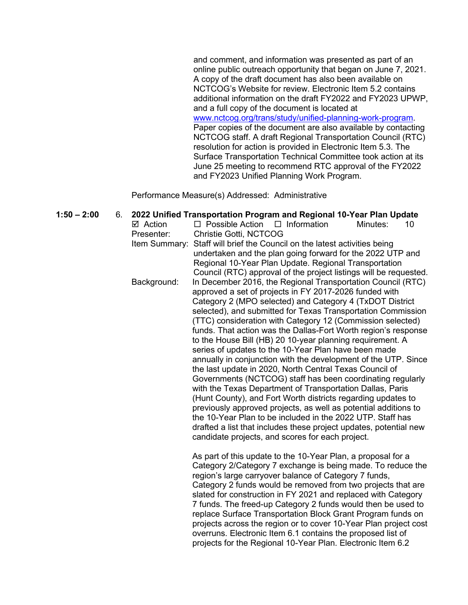and comment, and information was presented as part of an online public outreach opportunity that began on June 7, 2021. A copy of the draft document has also been available on NCTCOG's Website for review. Electronic Item 5.2 contains additional information on the draft FY2022 and FY2023 UPWP, and a full copy of the document is located at [www.nctcog.org/trans/study/unified-planning-work-program.](http://www.nctcog.org/trans/study/unified-planning-work-program) Paper copies of the document are also available by contacting NCTCOG staff. A draft Regional Transportation Council (RTC) resolution for action is provided in Electronic Item 5.3. The Surface Transportation Technical Committee took action at its June 25 meeting to recommend RTC approval of the FY2022 and FY2023 Unified Planning Work Program.

Performance Measure(s) Addressed: Administrative

**1:50 – 2:00** 6. **2022 Unified Transportation Program and Regional 10-Year Plan Update**   $\boxtimes$  Action  $\Box$  Possible Action  $\Box$  Information Minutes: 10 Presenter: Christie Gotti, NCTCOG Item Summary: Staff will brief the Council on the latest activities being undertaken and the plan going forward for the 2022 UTP and Regional 10-Year Plan Update. Regional Transportation Council (RTC) approval of the project listings will be requested. Background: In December 2016, the Regional Transportation Council (RTC) approved a set of projects in FY 2017-2026 funded with Category 2 (MPO selected) and Category 4 (TxDOT District selected), and submitted for Texas Transportation Commission (TTC) consideration with Category 12 (Commission selected) funds. That action was the Dallas-Fort Worth region's response to the House Bill (HB) 20 10-year planning requirement. A series of updates to the 10-Year Plan have been made annually in conjunction with the development of the UTP. Since the last update in 2020, North Central Texas Council of Governments (NCTCOG) staff has been coordinating regularly with the Texas Department of Transportation Dallas, Paris (Hunt County), and Fort Worth districts regarding updates to previously approved projects, as well as potential additions to the 10-Year Plan to be included in the 2022 UTP. Staff has drafted a list that includes these project updates, potential new candidate projects, and scores for each project. As part of this update to the 10-Year Plan, a proposal for a Category 2/Category 7 exchange is being made. To reduce the region's large carryover balance of Category 7 funds, Category 2 funds would be removed from two projects that are slated for construction in FY 2021 and replaced with Category 7 funds. The freed-up Category 2 funds would then be used to replace Surface Transportation Block Grant Program funds on projects across the region or to cover 10-Year Plan project cost overruns. Electronic Item 6.1 contains the proposed list of projects for the Regional 10-Year Plan. Electronic Item 6.2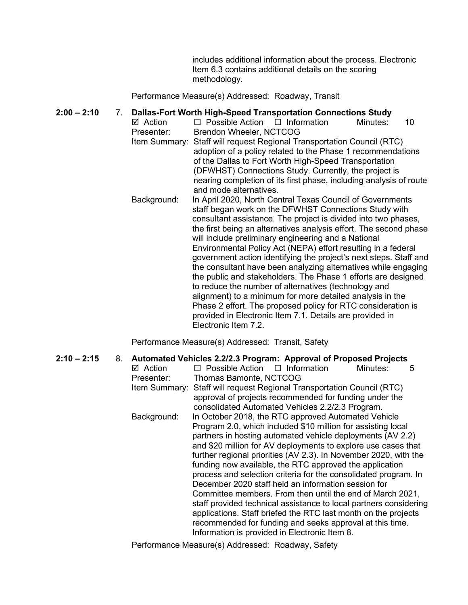includes additional information about the process. Electronic Item 6.3 contains additional details on the scoring methodology.

Performance Measure(s) Addressed: Roadway, Transit

#### **2:00 – 2:10** 7. **Dallas-Fort Worth High-Speed Transportation Connections Study**

- $\boxtimes$  Action  $\Box$  Possible Action  $\Box$  Information Minutes: 10 Presenter: Brendon Wheeler, NCTCOG Item Summary: Staff will request Regional Transportation Council (RTC) adoption of a policy related to the Phase 1 recommendations of the Dallas to Fort Worth High-Speed Transportation (DFWHST) Connections Study. Currently, the project is nearing completion of its first phase, including analysis of route and mode alternatives.
	- Background: In April 2020, North Central Texas Council of Governments staff began work on the DFWHST Connections Study with consultant assistance. The project is divided into two phases, the first being an alternatives analysis effort. The second phase will include preliminary engineering and a National Environmental Policy Act (NEPA) effort resulting in a federal government action identifying the project's next steps. Staff and the consultant have been analyzing alternatives while engaging the public and stakeholders. The Phase 1 efforts are designed to reduce the number of alternatives (technology and alignment) to a minimum for more detailed analysis in the Phase 2 effort. The proposed policy for RTC consideration is provided in Electronic Item 7.1. Details are provided in Electronic Item 7.2.

Performance Measure(s) Addressed: Transit, Safety

**2:10 – 2:15** 8. **Automated Vehicles 2.2/2.3 Program: Approval of Proposed Projects**  $\boxtimes$  Action  $\square$  Possible Action  $\square$  Information Minutes: 5 Presenter: Thomas Bamonte, NCTCOG Item Summary: Staff will request Regional Transportation Council (RTC) approval of projects recommended for funding under the consolidated Automated Vehicles 2.2/2.3 Program. Background: In October 2018, the RTC approved Automated Vehicle Program 2.0, which included \$10 million for assisting local partners in hosting automated vehicle deployments (AV 2.2) and \$20 million for AV deployments to explore use cases that further regional priorities (AV 2.3). In November 2020, with the funding now available, the RTC approved the application process and selection criteria for the consolidated program. In December 2020 staff held an information session for Committee members. From then until the end of March 2021, staff provided technical assistance to local partners considering applications. Staff briefed the RTC last month on the projects recommended for funding and seeks approval at this time. Information is provided in Electronic Item 8.

Performance Measure(s) Addressed: Roadway, Safety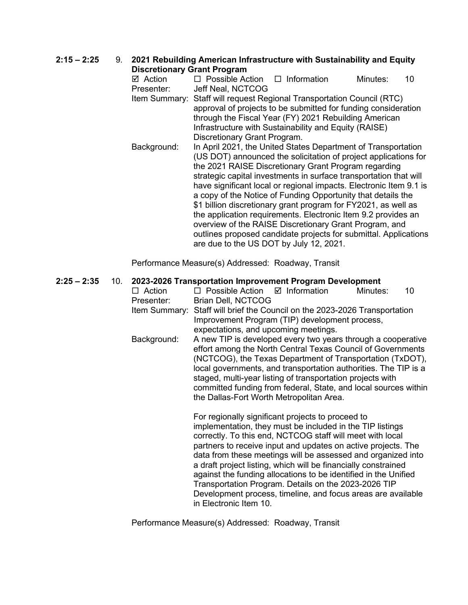# **2:15 – 2:25** 9. **2021 Rebuilding American Infrastructure with Sustainability and Equity Discretionary Grant Program**

| DISCRETIONALY ORANI Program |                                                                                                                                                                                                                                                                                                                                                                                                                                  |                                                                                                                                                                                                                                                                             |          |    |
|-----------------------------|----------------------------------------------------------------------------------------------------------------------------------------------------------------------------------------------------------------------------------------------------------------------------------------------------------------------------------------------------------------------------------------------------------------------------------|-----------------------------------------------------------------------------------------------------------------------------------------------------------------------------------------------------------------------------------------------------------------------------|----------|----|
| ☑ Action                    | $\Box$ Possible Action $\Box$ Information                                                                                                                                                                                                                                                                                                                                                                                        |                                                                                                                                                                                                                                                                             | Minutes: | 10 |
| Presenter:                  | Jeff Neal, NCTCOG                                                                                                                                                                                                                                                                                                                                                                                                                |                                                                                                                                                                                                                                                                             |          |    |
|                             | Item Summary: Staff will request Regional Transportation Council (RTC)<br>approval of projects to be submitted for funding consideration<br>through the Fiscal Year (FY) 2021 Rebuilding American<br>Discretionary Grant Program.                                                                                                                                                                                                | Infrastructure with Sustainability and Equity (RAISE)                                                                                                                                                                                                                       |          |    |
| Background:                 | the 2021 RAISE Discretionary Grant Program regarding<br>a copy of the Notice of Funding Opportunity that details the<br>\$1 billion discretionary grant program for FY2021, as well as<br>the application requirements. Electronic Item 9.2 provides an<br>overview of the RAISE Discretionary Grant Program, and<br>outlines proposed candidate projects for submittal. Applications<br>are due to the US DOT by July 12, 2021. | In April 2021, the United States Department of Transportation<br>(US DOT) announced the solicitation of project applications for<br>strategic capital investments in surface transportation that will<br>have significant local or regional impacts. Electronic Item 9.1 is |          |    |

Performance Measure(s) Addressed: Roadway, Transit

# **2:25 – 2:35** 10. **2023-2026 Transportation Improvement Program Development**

| $\Box$ Action | $\Box$ Possible Action $\Box$ Information |                                                                                                                                                                                                                                                                                                                                                                                                                                                                                                                                                                           | Minutes: | 10 |
|---------------|-------------------------------------------|---------------------------------------------------------------------------------------------------------------------------------------------------------------------------------------------------------------------------------------------------------------------------------------------------------------------------------------------------------------------------------------------------------------------------------------------------------------------------------------------------------------------------------------------------------------------------|----------|----|
| Presenter:    | Brian Dell, NCTCOG                        |                                                                                                                                                                                                                                                                                                                                                                                                                                                                                                                                                                           |          |    |
|               |                                           | Item Summary: Staff will brief the Council on the 2023-2026 Transportation                                                                                                                                                                                                                                                                                                                                                                                                                                                                                                |          |    |
|               |                                           | Improvement Program (TIP) development process,                                                                                                                                                                                                                                                                                                                                                                                                                                                                                                                            |          |    |
|               | expectations, and upcoming meetings.      |                                                                                                                                                                                                                                                                                                                                                                                                                                                                                                                                                                           |          |    |
| Background:   | the Dallas-Fort Worth Metropolitan Area.  | A new TIP is developed every two years through a cooperative<br>effort among the North Central Texas Council of Governments<br>(NCTCOG), the Texas Department of Transportation (TxDOT),<br>local governments, and transportation authorities. The TIP is a<br>staged, multi-year listing of transportation projects with<br>committed funding from federal, State, and local sources within                                                                                                                                                                              |          |    |
|               |                                           | For regionally significant projects to proceed to<br>implementation, they must be included in the TIP listings<br>correctly. To this end, NCTCOG staff will meet with local<br>partners to receive input and updates on active projects. The<br>data from these meetings will be assessed and organized into<br>a draft project listing, which will be financially constrained<br>against the funding allocations to be identified in the Unified<br>Transportation Program. Details on the 2023-2026 TIP<br>Development process, timeline, and focus areas are available |          |    |

Performance Measure(s) Addressed: Roadway, Transit

in Electronic Item 10.